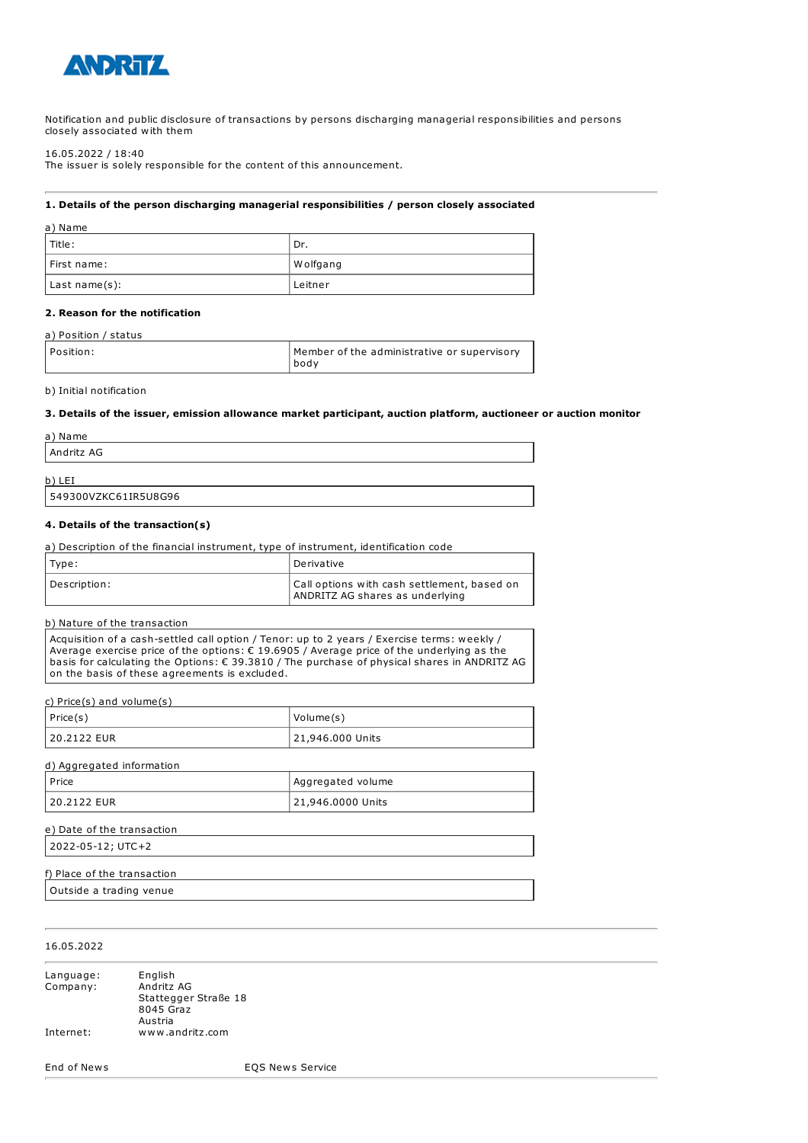

Notification and public disclosure of transactions by persons discharging managerial responsibilities and persons closely associated with them

16.05.2022 / 18:40

The issuer is solely responsible for the content of this announcement.

### **1. Details of the person discharging managerial responsibilities / person closely associated**

| a) Name       |           |
|---------------|-----------|
| l Title :     | ' Dr.     |
| First name:   | W olfgang |
| Last name(s): | Leitner   |

### **2. Reason for the notification**

#### a) Position / status

| l Position: | Member of the administrative or supervisory |
|-------------|---------------------------------------------|
|             | i bodv                                      |

### b) Initial notification

#### **3. Details of the issuer, emission allowance market participant, auction platform, auctioneer or auction monitor**

| a) Name    |  |  |
|------------|--|--|
| Andritz AG |  |  |
| b)<br>LEI  |  |  |

# 549300VZKC61IR5U8G96

### **4. Details of the transaction(s)**

| a) Description of the financial instrument, type of instrument, identification code |                                                                                |
|-------------------------------------------------------------------------------------|--------------------------------------------------------------------------------|
| Type:                                                                               | Derivative                                                                     |
| Description:                                                                        | Call options with cash settlement, based on<br>ANDRITZ AG shares as underlying |

### b) Nature of the transaction

Acquisition of a cash-settled call option / Tenor: up to 2 years / Exercise terms: weekly / Average exercise price of the options: € 19.6905 / Average price of the underlying as the basis for calculating the Options: € 39.3810 / The purchase of physical shares in ANDRITZ AG on the basis of these agreements is excluded.

c) Price(s) and volume(s)

| $ $ Price(s) | Volume(s)        |
|--------------|------------------|
| 20.2122 EUR  | 21,946.000 Units |

| d) Aggregated information |                   |
|---------------------------|-------------------|
| l Price                   | Aggregated volume |
| 120.2122 EUR              | 21,946.0000 Units |

| e) Date of the transaction |  |
|----------------------------|--|
| 2022-05-12; UTC+2          |  |
|                            |  |

# f) Place of the transaction

Outside a trading venue

## 16.05.2022

| Language: | English              |
|-----------|----------------------|
| Company:  | Andritz AG           |
|           | Stattegger Straße 18 |
|           | 8045 Graz            |
|           | Austria              |
| Internet: | www.andritz.com      |

End of News EQS News Service